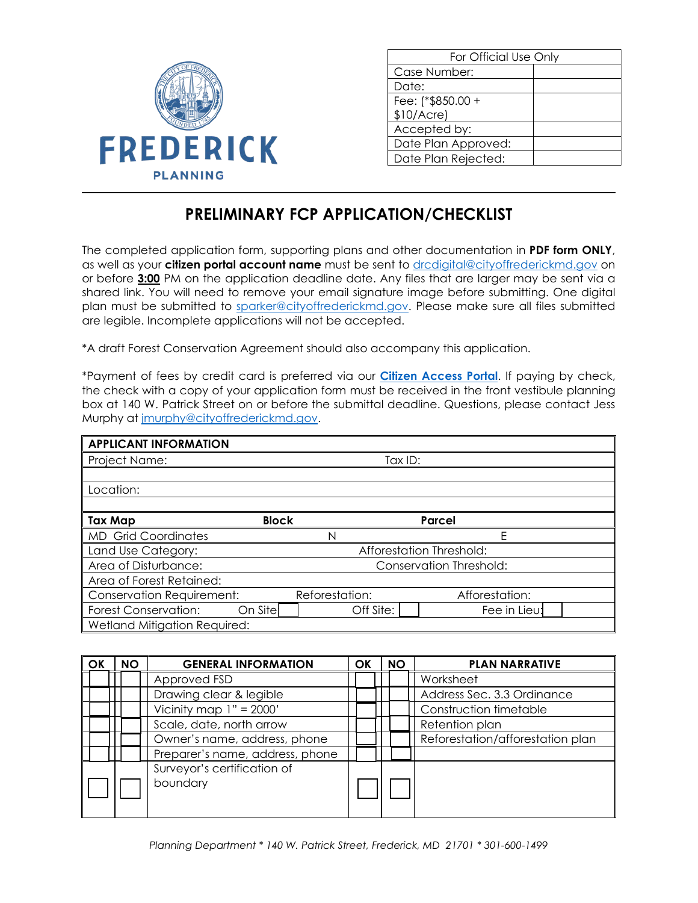

Ι

| For Official Use Only |  |  |
|-----------------------|--|--|
| Case Number:          |  |  |
| Date:                 |  |  |
| Fee: (*\$850.00 +     |  |  |
| \$10/Accre            |  |  |
| Accepted by:          |  |  |
| Date Plan Approved:   |  |  |
| Date Plan Rejected:   |  |  |

## **PRELIMINARY FCP APPLICATION/CHECKLIST**

The completed application form, supporting plans and other documentation in **PDF form ONLY**, as well as your **citizen portal account name** must be sent to [drcdigital@cityoffrederickmd.gov](mailto:drcdigital@cityoffrederickmd.gov) on or before **3:00** PM on the application deadline date. Any files that are larger may be sent via a shared link. You will need to remove your email signature image before submitting. One digital plan must be submitted to [sparker@cityoffrederickmd.gov.](mailto:sparker@cityoffrederickmd.gov) Please make sure all files submitted are legible. Incomplete applications will not be accepted.

\*A draft Forest Conservation Agreement should also accompany this application.

\*Payment of fees by credit card is preferred via our **[Citizen Access Portal](https://gcc02.safelinks.protection.outlook.com/?url=https%3A%2F%2Fcitizenaccess.cityoffrederick.com%2Fcitizenaccess%2F&data=02%7C01%7Cgcollard%40cityoffrederickmd.gov%7Cad3d08217e17487711b308d7d4cd9765%7Cc379f8550dee4b099f890cee3aa7f761%7C0%7C0%7C637211851779890394&sdata=fTC85eZgbuzzFKzq%2Fio%2FHxCILWPquIWiY8bsVzLfTtM%3D&reserved=0)**. If paying by check, the check with a copy of your application form must be received in the front vestibule planning box at 140 W. Patrick Street on or before the submittal deadline. Questions, please contact Jess Murphy at [jmurphy@cityoffrederickmd.gov.](mailto:jmurphy@cityoffrederickmd.gov)

| <b>APPLICANT INFORMATION</b>                   |              |                         |                |  |  |  |
|------------------------------------------------|--------------|-------------------------|----------------|--|--|--|
| Project Name:<br>Tax ID:                       |              |                         |                |  |  |  |
|                                                |              |                         |                |  |  |  |
| Location:                                      |              |                         |                |  |  |  |
|                                                |              |                         |                |  |  |  |
| Tax Map                                        | <b>Block</b> |                         | Parcel         |  |  |  |
| <b>MD</b> Grid Coordinates                     |              | N                       | F              |  |  |  |
| Afforestation Threshold:<br>Land Use Category: |              |                         |                |  |  |  |
| Area of Disturbance:                           |              | Conservation Threshold: |                |  |  |  |
| Area of Forest Retained:                       |              |                         |                |  |  |  |
| <b>Conservation Requirement:</b>               |              | Reforestation:          | Afforestation: |  |  |  |
| Forest Conservation:                           | On Sitel     | Off Site:               | Fee in Lieu:   |  |  |  |
| Wetland Mitigation Required:                   |              |                         |                |  |  |  |

| <b>OK</b> | <b>NO</b> | <b>GENERAL INFORMATION</b>      | OK | <b>NO</b> | <b>PLAN NARRATIVE</b>            |
|-----------|-----------|---------------------------------|----|-----------|----------------------------------|
|           |           | Approved FSD                    |    |           | Worksheet                        |
|           |           | Drawing clear & legible         |    |           | Address Sec. 3.3 Ordinance       |
|           |           | Vicinity map $1" = 2000'$       |    |           | Construction timetable           |
|           |           | Scale, date, north arrow        |    |           | Retention plan                   |
|           |           | Owner's name, address, phone    |    |           | Reforestation/afforestation plan |
|           |           | Preparer's name, address, phone |    |           |                                  |
|           |           | Surveyor's certification of     |    |           |                                  |
|           |           | boundary                        |    |           |                                  |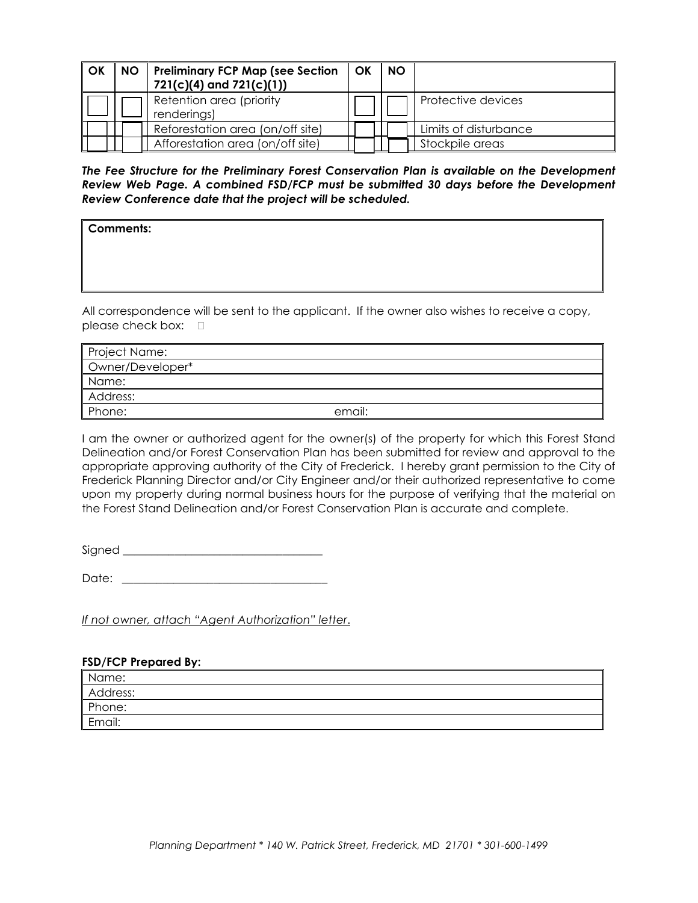| OK | NO   Preliminary FCP Map (see Section   OK<br>$721(c)(4)$ and $721(c)(1)$ | <b>NO</b> |                       |
|----|---------------------------------------------------------------------------|-----------|-----------------------|
|    | Retention area (priority<br>renderings)                                   |           | Protective devices    |
|    | Reforestation area (on/off site)                                          |           | Limits of disturbance |
|    | Afforestation area (on/off site)                                          |           | Stockpile areas       |

*The Fee Structure for the Preliminary Forest Conservation Plan is available on the Development Review Web Page. A combined FSD/FCP must be submitted 30 days before the Development Review Conference date that the project will be scheduled.* 

**Comments:**

All correspondence will be sent to the applicant. If the owner also wishes to receive a copy, please check box:  $\square$ 

| <b>Project Name:</b> |        |
|----------------------|--------|
| Owner/Developer*     |        |
| Name:                |        |
| Address:             |        |
| Phone:               | email: |

I am the owner or authorized agent for the owner(s) of the property for which this Forest Stand Delineation and/or Forest Conservation Plan has been submitted for review and approval to the appropriate approving authority of the City of Frederick. I hereby grant permission to the City of Frederick Planning Director and/or City Engineer and/or their authorized representative to come upon my property during normal business hours for the purpose of verifying that the material on the Forest Stand Delineation and/or Forest Conservation Plan is accurate and complete.

Signed \_\_\_\_\_\_\_\_\_\_\_\_\_\_\_\_\_\_\_\_\_\_\_\_\_\_\_\_\_\_\_\_\_\_\_

Date: \_\_\_\_\_\_\_\_\_\_\_\_\_\_\_\_\_\_\_\_\_\_\_\_\_\_\_\_\_\_\_\_\_\_\_\_

*If not owner, attach "Agent Authorization" letter*.

## **FSD/FCP Prepared By:**

| Name:    |  |
|----------|--|
| Address: |  |
| Phone:   |  |
| Email:   |  |